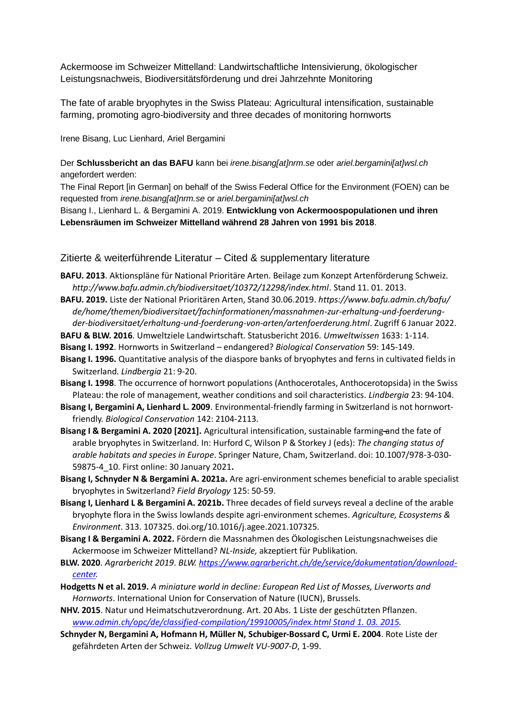Ackermoose im Schweizer Mittelland: Landwirtschaftliche Intensivierung, ökologischer Leistungsnachweis, Biodiversitätsförderung und drei Jahrzehnte Monitoring

The fate of arable bryophytes in the Swiss Plateau: Agricultural intensification, sustainable farming, promoting agro-biodiversity and three decades of monitoring hornworts

Irene Bisang, Luc Lienhard, Ariel Bergamini

Der **Schlussbericht an das BAFU** kann bei *irene.bisang[at]nrm.se* oder *ariel.bergamini[at]wsl.ch*  angefordert werden:

The Final Report [in German] on behalf of the Swiss Federal Office for the Environment (FOEN) can be requested from *irene.bisang[at]nrm.se* or *ariel.bergamini[at]wsl.ch*

Bisang I., Lienhard L. & Bergamini A. 2019. **Entwicklung von Ackermoospopulationen und ihren Lebensräumen im Schweizer Mittelland während 28 Jahren von 1991 bis 2018**.

## Zitierte & weiterführende Literatur – Cited & supplementary literature

- **BAFU. 2013**. Aktionspläne für National Prioritäre Arten. Beilage zum Konzept Artenförderung Schweiz. *http://www.bafu.admin.ch/biodiversitaet/10372/12298/index.html*. Stand 11. 01. 2013.
- **BAFU. 2019.** Liste der National Prioritären Arten, Stand 30.06.2019. *https://www.bafu.admin.ch/bafu/ de/home/themen/biodiversitaet/fachinformationen/massnahmen-zur-erhaltung-und-foerderungder-biodiversitaet/erhaltung-und-foerderung-von-arten/artenfoerderung.html*. Zugriff 6 Januar 2022.

**BAFU & BLW. 2016**. Umweltziele Landwirtschaft. Statusbericht 2016. *Umweltwissen* 1633: 1-114.

**Bisang I. 1992**. Hornworts in Switzerland – endangered? *Biological Conservation* 59: 145-149.

- **Bisang I. 1996.** Quantitative analysis of the diaspore banks of bryophytes and ferns in cultivated fields in Switzerland. *Lindbergia* 21: 9-20.
- **Bisang I. 1998**. The occurrence of hornwort populations (Anthocerotales, Anthocerotopsida) in the Swiss Plateau: the role of management, weather conditions and soil characteristics. *Lindbergia* 23: 94-104.
- **Bisang I, Bergamini A, Lienhard L. 2009**. Environmental-friendly farming in Switzerland is not hornwortfriendly. *Biological Conservation* 142: 2104-2113.
- Bisang I & Bergamini A. 2020 [2021]. Agricultural intensification, sustainable farming-and the fate of arable bryophytes in Switzerland. In: Hurford C, Wilson P & Storkey J (eds): *The changing status of arable habitats and species in Europe*. Springer Nature, Cham, Switzerland. doi: 10.1007/978-3-030- 59875-4\_10. First online: 30 January 2021**.**
- **Bisang I, Schnyder N & Bergamini A. 2021a.** Are agri-environment schemes beneficial to arable specialist bryophytes in Switzerland? *Field Bryology* 125: 50-59.
- **Bisang I, Lienhard L & Bergamini A. 2021b.** Three decades of field surveys reveal a decline of the arable bryophyte flora in the Swiss lowlands despite agri-environment schemes. *Agriculture, Ecosystems & Environment*. 313. 107325. doi.org/10.1016/j.agee.2021.107325.
- **Bisang I & Bergamini A. 2022.** Fördern die Massnahmen des Ökologischen Leistungsnachweises die Ackermoose im Schweizer Mittelland? *NL-Inside,* akzeptiert für Publikation*.*
- **BLW. 2020**. *Agrarbericht 2019*. *BLW. [https://www.agrarbericht.ch/de/service/dokumentation/download](https://www.agrarbericht.ch/de/service/dokumentation/download-center)[center.](https://www.agrarbericht.ch/de/service/dokumentation/download-center)*
- **Hodgetts N et al. 2019.** *A miniature world in decline: European Red List of Mosses, Liverworts and Hornworts*. International Union for Conservation of Nature (IUCN), Brussels.

**NHV. 2015**. Natur und Heimatschutzverordnung. Art. 20 Abs. 1 Liste der geschützten Pflanzen. *[www.admin.ch/opc/de/classified-compilation/19910005/index.html Stand 1. 03. 2015.](http://www.admin.ch/opc/de/classified-compilation/19910005/index.html%20Stand%201.%2003.%202015)*

**Schnyder N, Bergamini A, Hofmann H, Müller N, Schubiger-Bossard C, Urmi E. 2004**. Rote Liste der gefährdeten Arten der Schweiz. *Vollzug Umwelt VU-9007-D*, 1-99.